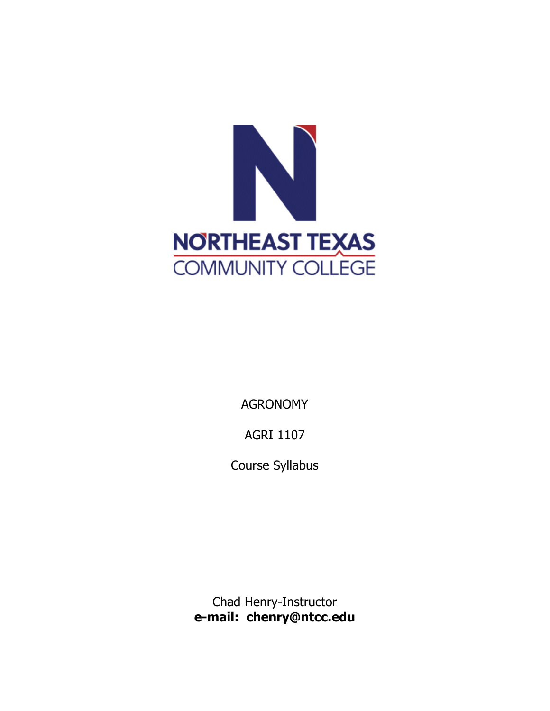

AGRONOMY

AGRI 1107

Course Syllabus

Chad Henry-Instructor **e-mail: chenry@ntcc.edu**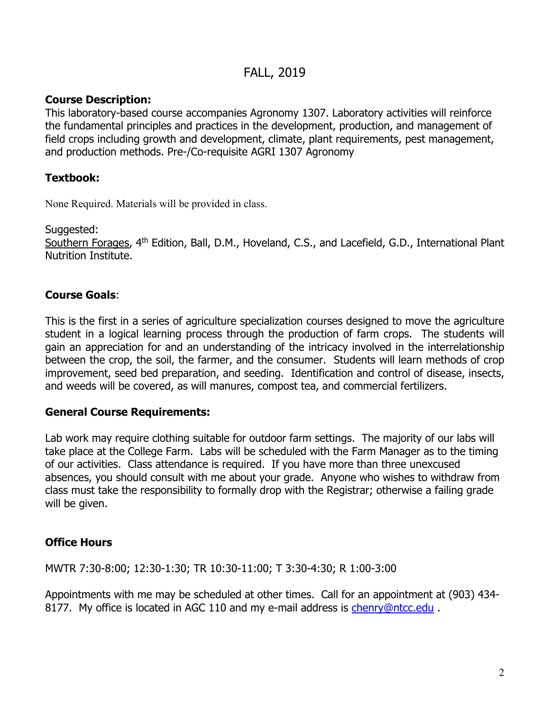# FALL, 2019

# **Course Description:**

This laboratory-based course accompanies Agronomy 1307. Laboratory activities will reinforce the fundamental principles and practices in the development, production, and management of field crops including growth and development, climate, plant requirements, pest management, and production methods. Pre-/Co-requisite AGRI 1307 Agronomy

# **Textbook:**

None Required. Materials will be provided in class.

Suggested:

Southern Forages, 4<sup>th</sup> Edition, Ball, D.M., Hoveland, C.S., and Lacefield, G.D., International Plant Nutrition Institute.

# **Course Goals**:

This is the first in a series of agriculture specialization courses designed to move the agriculture student in a logical learning process through the production of farm crops. The students will gain an appreciation for and an understanding of the intricacy involved in the interrelationship between the crop, the soil, the farmer, and the consumer. Students will learn methods of crop improvement, seed bed preparation, and seeding. Identification and control of disease, insects, and weeds will be covered, as will manures, compost tea, and commercial fertilizers.

### **General Course Requirements:**

Lab work may require clothing suitable for outdoor farm settings. The majority of our labs will take place at the College Farm. Labs will be scheduled with the Farm Manager as to the timing of our activities. Class attendance is required. If you have more than three unexcused absences, you should consult with me about your grade. Anyone who wishes to withdraw from class must take the responsibility to formally drop with the Registrar; otherwise a failing grade will be given.

# **Office Hours**

MWTR 7:30-8:00; 12:30-1:30; TR 10:30-11:00; T 3:30-4:30; R 1:00-3:00

Appointments with me may be scheduled at other times. Call for an appointment at (903) 434 8177. My office is located in AGC 110 and my e-mail address is [chenry@ntcc.edu](mailto:chenry@ntcc.edu).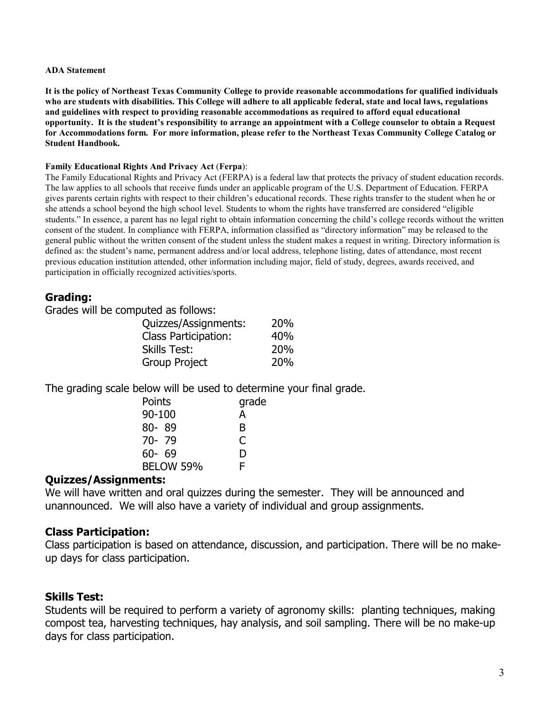#### **ADA Statement**

**It is the policy of Northeast Texas Community College to provide reasonable accommodations for qualified individuals who are students with disabilities. This College will adhere to all applicable federal, state and local laws, regulations and guidelines with respect to providing reasonable accommodations as required to afford equal educational opportunity. It is the student's responsibility to arrange an appointment with a College counselor to obtain a Request for Accommodations form. For more information, please refer to the Northeast Texas Community College Catalog or Student Handbook.**

### **Family Educational Rights And Privacy Act** (**Ferpa**):

The Family Educational Rights and Privacy Act (FERPA) is a federal law that protects the privacy of student education records. The law applies to all schools that receive funds under an applicable program of the U.S. Department of Education. FERPA gives parents certain rights with respect to their children's educational records. These rights transfer to the student when he or she attends a school beyond the high school level. Students to whom the rights have transferred are considered "eligible students." In essence, a parent has no legal right to obtain information concerning the child's college records without the written consent of the student. In compliance with FERPA, information classified as "directory information" may be released to the general public without the written consent of the student unless the student makes a request in writing. Directory information is defined as: the student's name, permanent address and/or local address, telephone listing, dates of attendance, most recent previous education institution attended, other information including major, field of study, degrees, awards received, and participation in officially recognized activities/sports.

### **Grading:**

Grades will be computed as follows:

| Quizzes/Assignments:        | 20% |
|-----------------------------|-----|
| <b>Class Participation:</b> | 40% |
| <b>Skills Test:</b>         | 20% |
| Group Project               | 20% |

The grading scale below will be used to determine your final grade.

| Points    | grade |
|-----------|-------|
| 90-100    | А     |
| $80 - 89$ | в     |
| $70 - 79$ | C     |
| $60 - 69$ | D     |
| BELOW 59% | F     |

### **Quizzes/Assignments:**

We will have written and oral quizzes during the semester. They will be announced and unannounced. We will also have a variety of individual and group assignments.

### **Class Participation:**

Class participation is based on attendance, discussion, and participation. There will be no makeup days for class participation.

### **Skills Test:**

Students will be required to perform a variety of agronomy skills: planting techniques, making compost tea, harvesting techniques, hay analysis, and soil sampling. There will be no make-up days for class participation.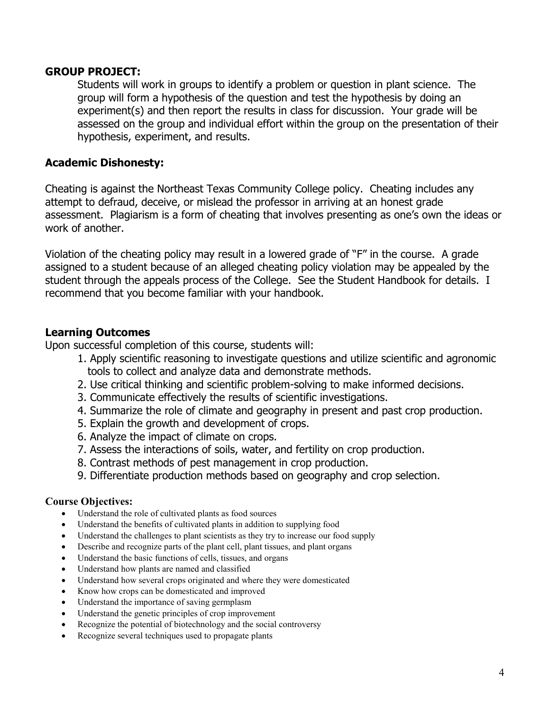### **GROUP PROJECT:**

Students will work in groups to identify a problem or question in plant science. The group will form a hypothesis of the question and test the hypothesis by doing an experiment(s) and then report the results in class for discussion. Your grade will be assessed on the group and individual effort within the group on the presentation of their hypothesis, experiment, and results.

## **Academic Dishonesty:**

Cheating is against the Northeast Texas Community College policy. Cheating includes any attempt to defraud, deceive, or mislead the professor in arriving at an honest grade assessment. Plagiarism is a form of cheating that involves presenting as one's own the ideas or work of another.

Violation of the cheating policy may result in a lowered grade of "F" in the course. A grade assigned to a student because of an alleged cheating policy violation may be appealed by the student through the appeals process of the College. See the Student Handbook for details. I recommend that you become familiar with your handbook.

# **Learning Outcomes**

Upon successful completion of this course, students will:

- 1. Apply scientific reasoning to investigate questions and utilize scientific and agronomic tools to collect and analyze data and demonstrate methods.
- 2. Use critical thinking and scientific problem-solving to make informed decisions.
- 3. Communicate effectively the results of scientific investigations.
- 4. Summarize the role of climate and geography in present and past crop production.
- 5. Explain the growth and development of crops.
- 6. Analyze the impact of climate on crops.
- 7. Assess the interactions of soils, water, and fertility on crop production.
- 8. Contrast methods of pest management in crop production.
- 9. Differentiate production methods based on geography and crop selection.

### **Course Objectives:**

- Understand the role of cultivated plants as food sources
- Understand the benefits of cultivated plants in addition to supplying food
- Understand the challenges to plant scientists as they try to increase our food supply
- Describe and recognize parts of the plant cell, plant tissues, and plant organs
- Understand the basic functions of cells, tissues, and organs
- Understand how plants are named and classified
- Understand how several crops originated and where they were domesticated
- Know how crops can be domesticated and improved
- Understand the importance of saving germplasm
- Understand the genetic principles of crop improvement
- Recognize the potential of biotechnology and the social controversy
- Recognize several techniques used to propagate plants